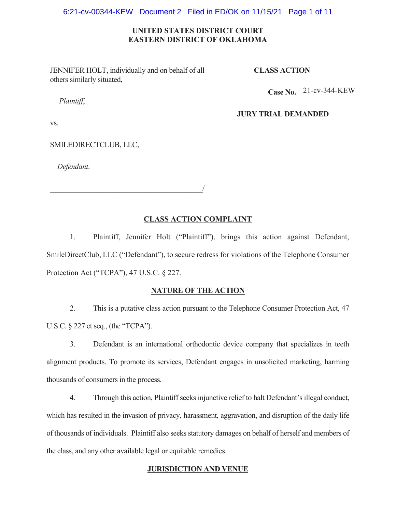#### 6:21-cv-00344-KEW Document 2 Filed in ED/OK on 11/15/21 Page 1 of 11

## **UNITED STATES DISTRICT COURT EASTERN DISTRICT OF OKLAHOMA**

JENNIFER HOLT, individually and on behalf of all others similarly situated,

 $\overline{\phantom{a}}$ 

## **CLASS ACTION**

**Case No.**  21-cv-344-KEW

# *Plaintiff*,

#### **JURY TRIAL DEMANDED**

vs.

SMILEDIRECTCLUB, LLC,

*Defendant*.

# **CLASS ACTION COMPLAINT**

1. Plaintiff, Jennifer Holt ("Plaintiff"), brings this action against Defendant, SmileDirectClub, LLC ("Defendant"), to secure redress for violations of the Telephone Consumer Protection Act ("TCPA"), 47 U.S.C. § 227.

#### **NATURE OF THE ACTION**

2. This is a putative class action pursuant to the Telephone Consumer Protection Act, 47 U.S.C. § 227 et seq., (the "TCPA").

3. Defendant is an international orthodontic device company that specializes in teeth alignment products. To promote its services, Defendant engages in unsolicited marketing, harming thousands of consumers in the process.

4. Through this action, Plaintiff seeks injunctive relief to halt Defendant's illegal conduct, which has resulted in the invasion of privacy, harassment, aggravation, and disruption of the daily life of thousands of individuals. Plaintiff also seeks statutory damages on behalf of herself and members of the class, and any other available legal or equitable remedies.

## **JURISDICTION AND VENUE**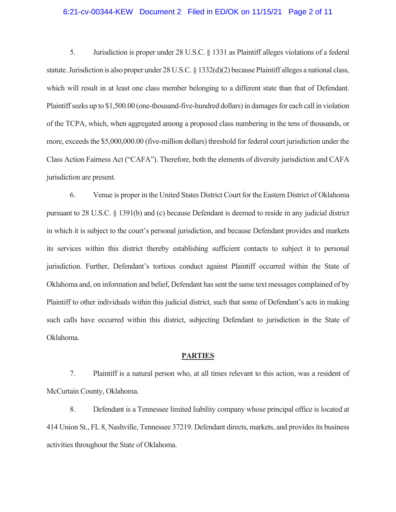#### 6:21-cv-00344-KEW Document 2 Filed in ED/OK on 11/15/21 Page 2 of 11

5. Jurisdiction is proper under 28 U.S.C. § 1331 as Plaintiff alleges violations of a federal statute. Jurisdiction is also proper under 28 U.S.C. § 1332(d)(2) because Plaintiff alleges a national class, which will result in at least one class member belonging to a different state than that of Defendant. Plaintiff seeks up to \$1,500.00 (one-thousand-five-hundred dollars) in damages for each call in violation of the TCPA, which, when aggregated among a proposed class numbering in the tens of thousands, or more, exceeds the \$5,000,000.00 (five-million dollars) threshold for federal court jurisdiction under the Class Action Fairness Act ("CAFA"). Therefore, both the elements of diversity jurisdiction and CAFA jurisdiction are present.

6. Venue is proper in the United States District Court for the Eastern District of Oklahoma pursuant to 28 U.S.C. § 1391(b) and (c) because Defendant is deemed to reside in any judicial district in which it is subject to the court's personal jurisdiction, and because Defendant provides and markets its services within this district thereby establishing sufficient contacts to subject it to personal jurisdiction. Further, Defendant's tortious conduct against Plaintiff occurred within the State of Oklahoma and, on information and belief, Defendant has sent the same text messages complained of by Plaintiff to other individuals within this judicial district, such that some of Defendant's acts in making such calls have occurred within this district, subjecting Defendant to jurisdiction in the State of Oklahoma.

#### **PARTIES**

7. Plaintiff is a natural person who, at all times relevant to this action, was a resident of McCurtain County, Oklahoma.

8. Defendant is a Tennessee limited liability company whose principal office is located at 414 Union St., FL 8, Nashville, Tennessee 37219. Defendant directs, markets, and provides its business activities throughout the State of Oklahoma.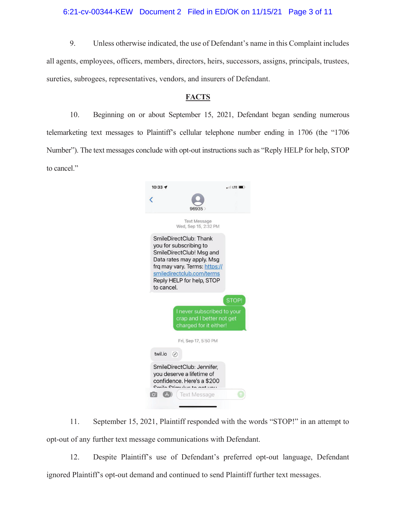## 6:21-cv-00344-KEW Document 2 Filed in ED/OK on 11/15/21 Page 3 of 11

9. Unless otherwise indicated, the use of Defendant's name in this Complaint includes all agents, employees, officers, members, directors, heirs, successors, assigns, principals, trustees, sureties, subrogees, representatives, vendors, and insurers of Defendant.

## **FACTS**

10. Beginning on or about September 15, 2021, Defendant began sending numerous telemarketing text messages to Plaintiff's cellular telephone number ending in 1706 (the "1706 Number"). The text messages conclude with opt-out instructions such as "Reply HELP for help, STOP to cancel."

| $10:33 -$  |                                                                                                                                                                                                      | $\cdot$ II LTE $\blacksquare$ |
|------------|------------------------------------------------------------------------------------------------------------------------------------------------------------------------------------------------------|-------------------------------|
|            | 96935                                                                                                                                                                                                |                               |
|            | <b>Text Message</b><br>Wed, Sep 15, 2:32 PM                                                                                                                                                          |                               |
| to cancel. | SmileDirectClub: Thank<br>you for subscribing to<br>SmileDirectClub! Msg and<br>Data rates may apply. Msg<br>frg may vary. Terms: https://<br>smiledirectclub.com/terms<br>Reply HELP for help, STOP |                               |
|            |                                                                                                                                                                                                      |                               |
|            |                                                                                                                                                                                                      | <b>STOP!</b>                  |
|            | I never subscribed to your<br>crap and I better not get<br>charged for it either!                                                                                                                    |                               |
|            | Fri, Sep 17, 5:50 PM                                                                                                                                                                                 |                               |
| twil.jo    | $\odot$                                                                                                                                                                                              |                               |
|            | SmileDirectClub: Jennifer,<br>you deserve a lifetime of<br>confidence. Here's a \$200<br>Cmila Ctimula to to not you                                                                                 |                               |
|            | <b>Text Message</b>                                                                                                                                                                                  |                               |

11. September 15, 2021, Plaintiff responded with the words "STOP!" in an attempt to opt-out of any further text message communications with Defendant.

12. Despite Plaintiff's use of Defendant's preferred opt-out language, Defendant ignored Plaintiff's opt-out demand and continued to send Plaintiff further text messages.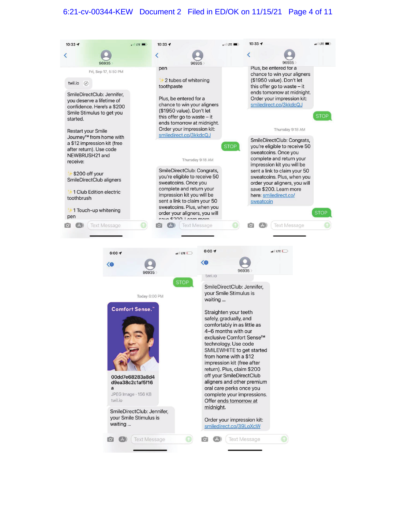## 6:21-cv-00344-KEW Document 2 Filed in ED/OK on 11/15/21 Page 4 of 11

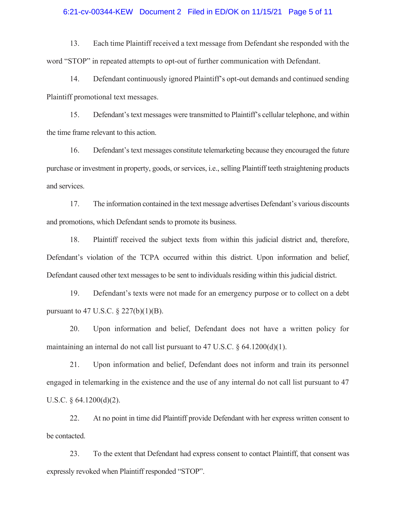#### 6:21-cv-00344-KEW Document 2 Filed in ED/OK on 11/15/21 Page 5 of 11

13. Each time Plaintiff received a text message from Defendant she responded with the word "STOP" in repeated attempts to opt-out of further communication with Defendant.

14. Defendant continuously ignored Plaintiff's opt-out demands and continued sending Plaintiff promotional text messages.

15. Defendant's text messages were transmitted to Plaintiff's cellular telephone, and within the time frame relevant to this action.

16. Defendant's text messages constitute telemarketing because they encouraged the future purchase or investment in property, goods, or services, i.e., selling Plaintiff teeth straightening products and services.

17. The information contained in the text message advertises Defendant's various discounts and promotions, which Defendant sends to promote its business.

18. Plaintiff received the subject texts from within this judicial district and, therefore, Defendant's violation of the TCPA occurred within this district. Upon information and belief, Defendant caused other text messages to be sent to individuals residing within this judicial district.

19. Defendant's texts were not made for an emergency purpose or to collect on a debt pursuant to 47 U.S.C.  $\S 227(b)(1)(B)$ .

20. Upon information and belief, Defendant does not have a written policy for maintaining an internal do not call list pursuant to 47 U.S.C. § 64.1200(d)(1).

21. Upon information and belief, Defendant does not inform and train its personnel engaged in telemarking in the existence and the use of any internal do not call list pursuant to 47 U.S.C. § 64.1200(d)(2).

22. At no point in time did Plaintiff provide Defendant with her express written consent to be contacted.

23. To the extent that Defendant had express consent to contact Plaintiff, that consent was expressly revoked when Plaintiff responded "STOP".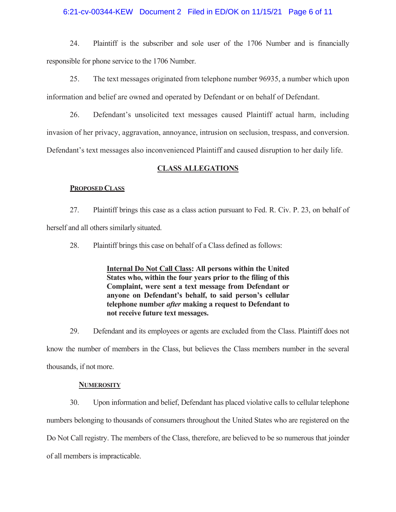## 6:21-cv-00344-KEW Document 2 Filed in ED/OK on 11/15/21 Page 6 of 11

24. Plaintiff is the subscriber and sole user of the 1706 Number and is financially responsible for phone service to the 1706 Number.

25. The text messages originated from telephone number 96935, a number which upon information and belief are owned and operated by Defendant or on behalf of Defendant.

26. Defendant's unsolicited text messages caused Plaintiff actual harm, including invasion of her privacy, aggravation, annoyance, intrusion on seclusion, trespass, and conversion. Defendant's text messages also inconvenienced Plaintiff and caused disruption to her daily life.

## **CLASS ALLEGATIONS**

#### **PROPOSED CLASS**

27. Plaintiff brings this case as a class action pursuant to Fed. R. Civ. P. 23, on behalf of herself and all others similarly situated.

28. Plaintiff brings this case on behalf of a Class defined as follows:

**Internal Do Not Call Class: All persons within the United States who, within the four years prior to the filing of this Complaint, were sent a text message from Defendant or anyone on Defendant's behalf, to said person's cellular telephone number** *after* **making a request to Defendant to not receive future text messages.** 

29. Defendant and its employees or agents are excluded from the Class. Plaintiff does not know the number of members in the Class, but believes the Class members number in the several thousands, if not more.

#### **NUMEROSITY**

30. Upon information and belief, Defendant has placed violative calls to cellular telephone numbers belonging to thousands of consumers throughout the United States who are registered on the Do Not Call registry. The members of the Class, therefore, are believed to be so numerous that joinder of all members is impracticable.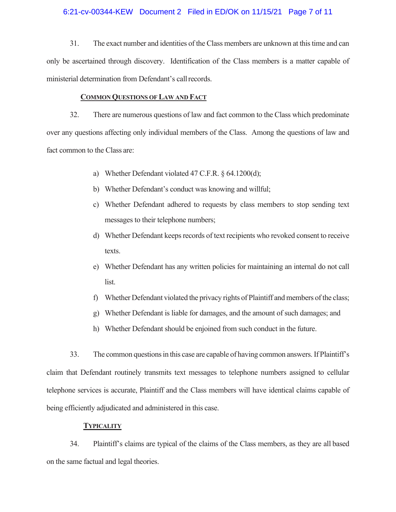## 6:21-cv-00344-KEW Document 2 Filed in ED/OK on 11/15/21 Page 7 of 11

31. The exact number and identities of the Class members are unknown at this time and can only be ascertained through discovery. Identification of the Class members is a matter capable of ministerial determination from Defendant's call records.

#### **COMMON QUESTIONS OF LAW AND FACT**

32. There are numerous questions of law and fact common to the Class which predominate over any questions affecting only individual members of the Class. Among the questions of law and fact common to the Class are:

- a) Whether Defendant violated 47 C.F.R. § 64.1200(d);
- b) Whether Defendant's conduct was knowing and willful;
- c) Whether Defendant adhered to requests by class members to stop sending text messages to their telephone numbers;
- d) Whether Defendant keeps records of text recipients who revoked consent to receive texts.
- e) Whether Defendant has any written policies for maintaining an internal do not call list.
- f) Whether Defendant violated the privacy rights of Plaintiff and members of the class;
- g) Whether Defendant is liable for damages, and the amount of such damages; and
- h) Whether Defendant should be enjoined from such conduct in the future.

33. The common questions in this case are capable of having common answers. If Plaintiff's claim that Defendant routinely transmits text messages to telephone numbers assigned to cellular telephone services is accurate, Plaintiff and the Class members will have identical claims capable of being efficiently adjudicated and administered in this case.

## **TYPICALITY**

34. Plaintiff's claims are typical of the claims of the Class members, as they are all based on the same factual and legal theories.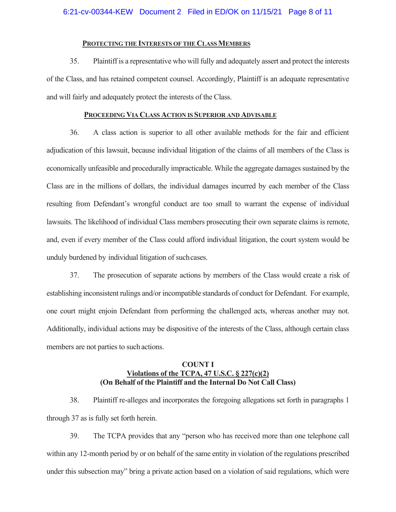## **PROTECTING THE INTERESTS OF THE CLASS MEMBERS**

35. Plaintiff is a representative who will fully and adequately assert and protect the interests of the Class, and has retained competent counsel. Accordingly, Plaintiff is an adequate representative and will fairly and adequately protect the interests of the Class.

#### **PROCEEDING VIA CLASS ACTION IS SUPERIOR AND ADVISABLE**

36. A class action is superior to all other available methods for the fair and efficient adjudication of this lawsuit, because individual litigation of the claims of all members of the Class is economically unfeasible and procedurally impracticable. While the aggregate damages sustained by the Class are in the millions of dollars, the individual damages incurred by each member of the Class resulting from Defendant's wrongful conduct are too small to warrant the expense of individual lawsuits. The likelihood of individual Class members prosecuting their own separate claims is remote, and, even if every member of the Class could afford individual litigation, the court system would be unduly burdened by individual litigation of such cases.

37. The prosecution of separate actions by members of the Class would create a risk of establishing inconsistent rulings and/or incompatible standards of conduct for Defendant. For example, one court might enjoin Defendant from performing the challenged acts, whereas another may not. Additionally, individual actions may be dispositive of the interests of the Class, although certain class members are not parties to such actions.

# **COUNT I Violations of the TCPA, 47 U.S.C. § 227(c)(2) (On Behalf of the Plaintiff and the Internal Do Not Call Class)**

38. Plaintiff re-alleges and incorporates the foregoing allegations set forth in paragraphs 1 through 37 as is fully set forth herein.

39. The TCPA provides that any "person who has received more than one telephone call within any 12-month period by or on behalf of the same entity in violation of the regulations prescribed under this subsection may" bring a private action based on a violation of said regulations, which were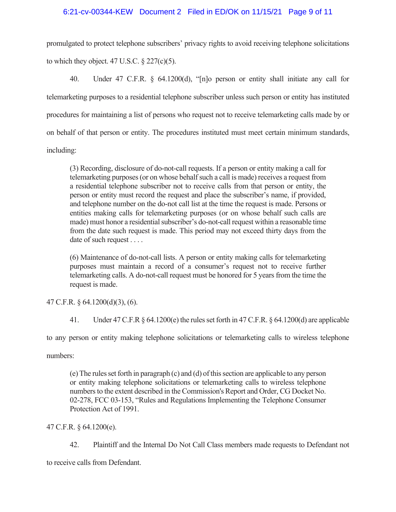promulgated to protect telephone subscribers' privacy rights to avoid receiving telephone solicitations to which they object. 47 U.S.C.  $\S$  227(c)(5).

40. Under 47 C.F.R. § 64.1200(d), "[n]o person or entity shall initiate any call for telemarketing purposes to a residential telephone subscriber unless such person or entity has instituted procedures for maintaining a list of persons who request not to receive telemarketing calls made by or on behalf of that person or entity. The procedures instituted must meet certain minimum standards, including:

(3) Recording, disclosure of do-not-call requests. If a person or entity making a call for telemarketing purposes (or on whose behalf such a call is made) receives a request from a residential telephone subscriber not to receive calls from that person or entity, the person or entity must record the request and place the subscriber's name, if provided, and telephone number on the do-not call list at the time the request is made. Persons or entities making calls for telemarketing purposes (or on whose behalf such calls are made) must honor a residential subscriber's do-not-call request within a reasonable time from the date such request is made. This period may not exceed thirty days from the date of such request . . . .

(6) Maintenance of do-not-call lists. A person or entity making calls for telemarketing purposes must maintain a record of a consumer's request not to receive further telemarketing calls. A do-not-call request must be honored for 5 years from the time the request is made.

47 C.F.R. § 64.1200(d)(3), (6).

41. Under 47 C.F.R § 64.1200(e) the rules set forth in 47 C.F.R. § 64.1200(d) are applicable

to any person or entity making telephone solicitations or telemarketing calls to wireless telephone

numbers:

(e) The rules set forth in paragraph (c) and (d) of this section are applicable to any person or entity making telephone solicitations or telemarketing calls to wireless telephone numbers to the extent described in the Commission's Report and Order, CG Docket No. 02-278, FCC 03-153, "Rules and Regulations Implementing the Telephone Consumer Protection Act of 1991.

47 C.F.R. § 64.1200(e).

42. Plaintiff and the Internal Do Not Call Class members made requests to Defendant not to receive calls from Defendant.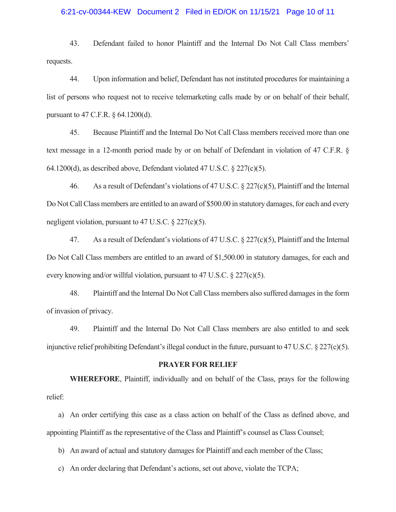#### 6:21-cv-00344-KEW Document 2 Filed in ED/OK on 11/15/21 Page 10 of 11

43. Defendant failed to honor Plaintiff and the Internal Do Not Call Class members' requests.

44. Upon information and belief, Defendant has not instituted procedures for maintaining a list of persons who request not to receive telemarketing calls made by or on behalf of their behalf, pursuant to 47 C.F.R. § 64.1200(d).

45. Because Plaintiff and the Internal Do Not Call Class members received more than one text message in a 12-month period made by or on behalf of Defendant in violation of 47 C.F.R. § 64.1200(d), as described above, Defendant violated 47 U.S.C. § 227(c)(5).

46. As a result of Defendant's violations of 47 U.S.C.  $\S 227(c)(5)$ , Plaintiff and the Internal Do Not Call Class members are entitled to an award of \$500.00 in statutory damages, for each and every negligent violation, pursuant to 47 U.S.C. § 227(c)(5).

47. As a result of Defendant's violations of 47 U.S.C. § 227(c)(5), Plaintiff and the Internal Do Not Call Class members are entitled to an award of \$1,500.00 in statutory damages, for each and every knowing and/or willful violation, pursuant to 47 U.S.C. § 227(c)(5).

48. Plaintiff and the Internal Do Not Call Class members also suffered damages in the form of invasion of privacy.

49. Plaintiff and the Internal Do Not Call Class members are also entitled to and seek injunctive relief prohibiting Defendant's illegal conduct in the future, pursuant to 47 U.S.C.  $\S 227(c)(5)$ .

#### **PRAYER FOR RELIEF**

**WHEREFORE**, Plaintiff, individually and on behalf of the Class, prays for the following relief:

a) An order certifying this case as a class action on behalf of the Class as defined above, and appointing Plaintiff as the representative of the Class and Plaintiff's counsel as Class Counsel;

b) An award of actual and statutory damages for Plaintiff and each member of the Class;

c) An order declaring that Defendant's actions, set out above, violate the TCPA;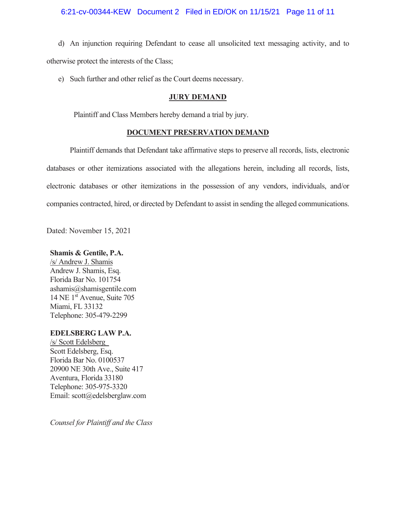## 6:21-cv-00344-KEW Document 2 Filed in ED/OK on 11/15/21 Page 11 of 11

d) An injunction requiring Defendant to cease all unsolicited text messaging activity, and to otherwise protect the interests of the Class;

e) Such further and other relief as the Court deems necessary.

## **JURY DEMAND**

Plaintiff and Class Members hereby demand a trial by jury.

## **DOCUMENT PRESERVATION DEMAND**

Plaintiff demands that Defendant take affirmative steps to preserve all records, lists, electronic databases or other itemizations associated with the allegations herein, including all records, lists, electronic databases or other itemizations in the possession of any vendors, individuals, and/or companies contracted, hired, or directed by Defendant to assist in sending the alleged communications.

Dated: November 15, 2021

## **Shamis & Gentile, P.A.**

/s/ Andrew J. Shamis Andrew J. Shamis, Esq. Florida Bar No. 101754 ashamis@shamisgentile.com 14 NE 1st Avenue, Suite 705 Miami, FL 33132 Telephone: 305-479-2299

## **EDELSBERG LAW P.A.**

/s/ Scott Edelsberg\_ Scott Edelsberg, Esq. Florida Bar No. 0100537 20900 NE 30th Ave., Suite 417 Aventura, Florida 33180 Telephone: 305-975-3320 Email: scott@edelsberglaw.com

*Counsel for Plaintiff and the Class*